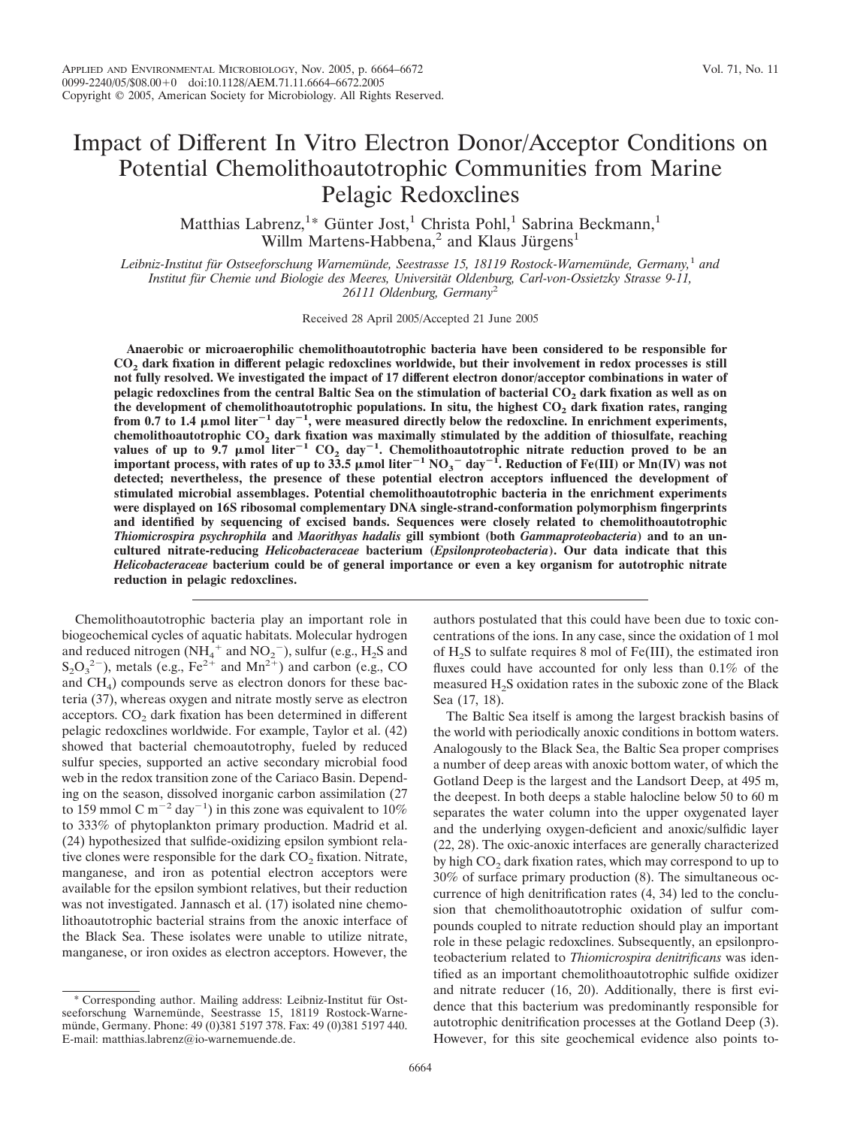# Impact of Different In Vitro Electron Donor/Acceptor Conditions on Potential Chemolithoautotrophic Communities from Marine Pelagic Redoxclines

Matthias Labrenz,<sup>1</sup>\* Günter Jost,<sup>1</sup> Christa Pohl,<sup>1</sup> Sabrina Beckmann,<sup>1</sup> Willm Martens-Habbena,<sup>2</sup> and Klaus Jürgens<sup>1</sup>

*Leibniz-Institut fu¨r Ostseeforschung Warnemu¨nde, Seestrasse 15, 18119 Rostock-Warnemu¨nde, Germany,*<sup>1</sup> *and Institut fu¨r Chemie und Biologie des Meeres, Universita¨t Oldenburg, Carl-von-Ossietzky Strasse 9-11, 26111 Oldenburg, Germany*<sup>2</sup>

Received 28 April 2005/Accepted 21 June 2005

**Anaerobic or microaerophilic chemolithoautotrophic bacteria have been considered to be responsible for CO2 dark fixation in different pelagic redoxclines worldwide, but their involvement in redox processes is still not fully resolved. We investigated the impact of 17 different electron donor/acceptor combinations in water of pelagic redoxclines from the central Baltic Sea on the stimulation of bacterial CO<sub>2</sub> dark fixation as well as on** the development of chemolithoautotrophic populations. In situ, the highest CO<sub>2</sub> dark fixation rates, ranging from 0.7 to 1.4  $\mu$ mol liter<sup>-1</sup> day<sup>-1</sup>, were measured directly below the redoxcline. In enrichment experiments,  $\mathbf{c}$  chemolithoautotrophic  $\mathbf{CO_{2}}$  dark fixation was maximally stimulated by the addition of thiosulfate, reaching values of up to 9.7  $\mu$ mol liter<sup>-1</sup> CO<sub>2</sub> day<sup>-1</sup>. Chemolithoautotrophic nitrate reduction proved to be an  $\frac{1}{2}$  important process, with rates of up to 33.5  $\mu$  mol liter<sup>-1</sup> NO<sub>3</sub><sup>-</sup> day<sup>-1</sup>. Reduction of Fe(III) or Mn(IV) was not **detected; nevertheless, the presence of these potential electron acceptors influenced the development of stimulated microbial assemblages. Potential chemolithoautotrophic bacteria in the enrichment experiments were displayed on 16S ribosomal complementary DNA single-strand-conformation polymorphism fingerprints and identified by sequencing of excised bands. Sequences were closely related to chemolithoautotrophic** *Thiomicrospira psychrophila* **and** *Maorithyas hadalis* **gill symbiont (both** *Gammaproteobacteria***) and to an uncultured nitrate-reducing** *Helicobacteraceae* **bacterium (***Epsilonproteobacteria***). Our data indicate that this** *Helicobacteraceae* **bacterium could be of general importance or even a key organism for autotrophic nitrate reduction in pelagic redoxclines.**

Chemolithoautotrophic bacteria play an important role in biogeochemical cycles of aquatic habitats. Molecular hydrogen and reduced nitrogen (NH<sub>4</sub><sup>+</sup> and NO<sub>2</sub><sup>-</sup>), sulfur (e.g., H<sub>2</sub>S and  $S_2O_3^2$ ), metals (e.g.,  $Fe^{2+}$  and  $Mn^{2+}$ ) and carbon (e.g., CO) and  $CH<sub>4</sub>$ ) compounds serve as electron donors for these bacteria (37), whereas oxygen and nitrate mostly serve as electron acceptors.  $CO<sub>2</sub>$  dark fixation has been determined in different pelagic redoxclines worldwide. For example, Taylor et al. (42) showed that bacterial chemoautotrophy, fueled by reduced sulfur species, supported an active secondary microbial food web in the redox transition zone of the Cariaco Basin. Depending on the season, dissolved inorganic carbon assimilation (27 to 159 mmol C m<sup>-2</sup> day<sup>-1</sup>) in this zone was equivalent to 10% to 333% of phytoplankton primary production. Madrid et al. (24) hypothesized that sulfide-oxidizing epsilon symbiont relative clones were responsible for the dark  $CO<sub>2</sub>$  fixation. Nitrate, manganese, and iron as potential electron acceptors were available for the epsilon symbiont relatives, but their reduction was not investigated. Jannasch et al.  $(17)$  isolated nine chemolithoautotrophic bacterial strains from the anoxic interface of the Black Sea. These isolates were unable to utilize nitrate, manganese, or iron oxides as electron acceptors. However, the authors postulated that this could have been due to toxic concentrations of the ions. In any case, since the oxidation of 1 mol of  $H_2S$  to sulfate requires 8 mol of Fe(III), the estimated iron fluxes could have accounted for only less than 0.1% of the measured  $H_2S$  oxidation rates in the suboxic zone of the Black Sea (17, 18).

The Baltic Sea itself is among the largest brackish basins of the world with periodically anoxic conditions in bottom waters. Analogously to the Black Sea, the Baltic Sea proper comprises a number of deep areas with anoxic bottom water, of which the Gotland Deep is the largest and the Landsort Deep, at 495 m, the deepest. In both deeps a stable halocline below 50 to 60 m separates the water column into the upper oxygenated layer and the underlying oxygen-deficient and anoxic/sulfidic layer (22, 28). The oxic-anoxic interfaces are generally characterized by high  $CO<sub>2</sub>$  dark fixation rates, which may correspond to up to 30% of surface primary production (8). The simultaneous occurrence of high denitrification rates (4, 34) led to the conclusion that chemolithoautotrophic oxidation of sulfur compounds coupled to nitrate reduction should play an important role in these pelagic redoxclines. Subsequently, an epsilonproteobacterium related to *Thiomicrospira denitrificans* was identified as an important chemolithoautotrophic sulfide oxidizer and nitrate reducer (16, 20). Additionally, there is first evidence that this bacterium was predominantly responsible for autotrophic denitrification processes at the Gotland Deep (3). However, for this site geochemical evidence also points to-

<sup>\*</sup> Corresponding author. Mailing address: Leibniz-Institut für Ostseeforschung Warnemünde, Seestrasse 15, 18119 Rostock-Warnemünde, Germany. Phone: 49 (0)381 5197 378. Fax: 49 (0)381 5197 440. E-mail: matthias.labrenz@io-warnemuende.de.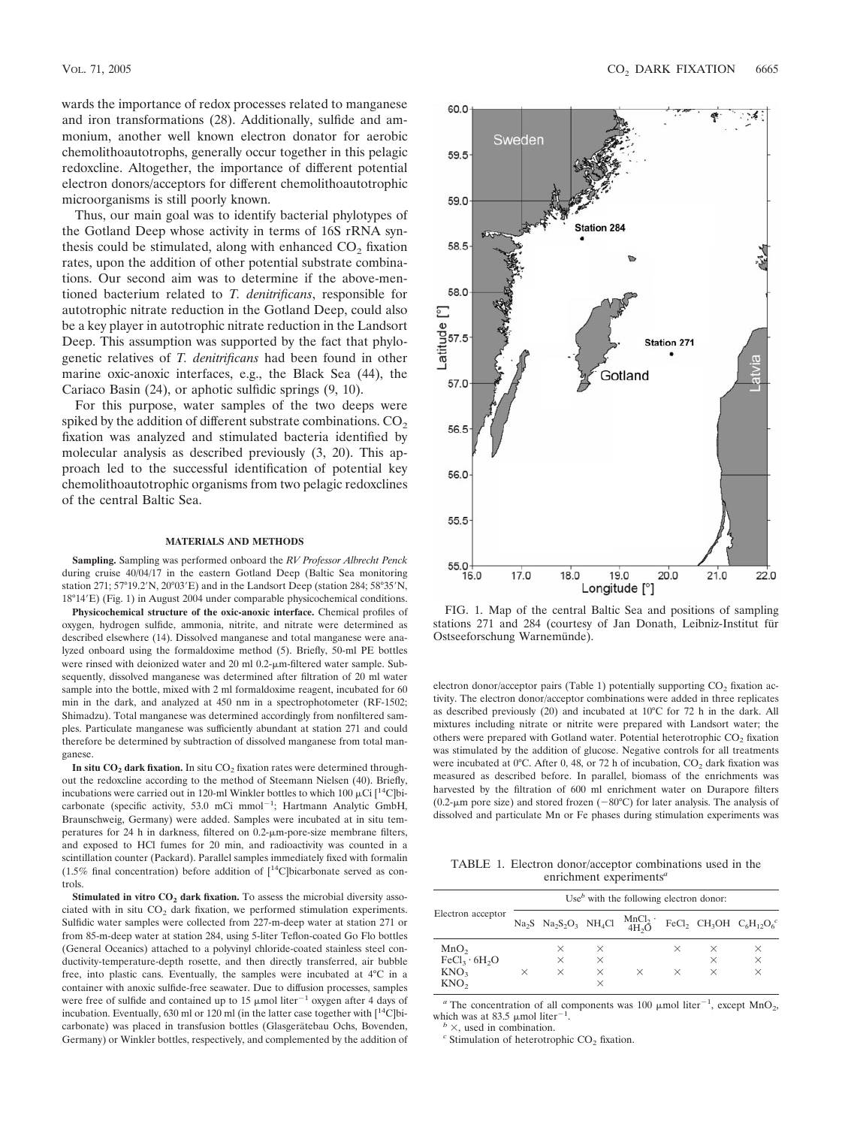wards the importance of redox processes related to manganese and iron transformations (28). Additionally, sulfide and ammonium, another well known electron donator for aerobic chemolithoautotrophs, generally occur together in this pelagic redoxcline. Altogether, the importance of different potential electron donors/acceptors for different chemolithoautotrophic microorganisms is still poorly known.

Thus, our main goal was to identify bacterial phylotypes of the Gotland Deep whose activity in terms of 16S rRNA synthesis could be stimulated, along with enhanced  $CO<sub>2</sub>$  fixation rates, upon the addition of other potential substrate combinations. Our second aim was to determine if the above-mentioned bacterium related to *T. denitrificans*, responsible for autotrophic nitrate reduction in the Gotland Deep, could also be a key player in autotrophic nitrate reduction in the Landsort Deep. This assumption was supported by the fact that phylogenetic relatives of *T. denitrificans* had been found in other marine oxic-anoxic interfaces, e.g., the Black Sea (44), the Cariaco Basin (24), or aphotic sulfidic springs (9, 10).

For this purpose, water samples of the two deeps were spiked by the addition of different substrate combinations.  $CO<sub>2</sub>$ fixation was analyzed and stimulated bacteria identified by molecular analysis as described previously (3, 20). This approach led to the successful identification of potential key chemolithoautotrophic organisms from two pelagic redoxclines of the central Baltic Sea.

### **MATERIALS AND METHODS**

**Sampling.** Sampling was performed onboard the *RV Professor Albrecht Penck* during cruise 40/04/17 in the eastern Gotland Deep (Baltic Sea monitoring station 271; 57°19.2'N, 20°03'E) and in the Landsort Deep (station 284; 58°35'N, 18°14'E) (Fig. 1) in August 2004 under comparable physicochemical conditions.

**Physicochemical structure of the oxic-anoxic interface.** Chemical profiles of oxygen, hydrogen sulfide, ammonia, nitrite, and nitrate were determined as described elsewhere (14). Dissolved manganese and total manganese were analyzed onboard using the formaldoxime method (5). Briefly, 50-ml PE bottles were rinsed with deionized water and 20 ml 0.2-µm-filtered water sample. Subsequently, dissolved manganese was determined after filtration of 20 ml water sample into the bottle, mixed with 2 ml formaldoxime reagent, incubated for 60 min in the dark, and analyzed at 450 nm in a spectrophotometer (RF-1502; Shimadzu). Total manganese was determined accordingly from nonfiltered samples. Particulate manganese was sufficiently abundant at station 271 and could therefore be determined by subtraction of dissolved manganese from total manganese.

In situ  $CO<sub>2</sub>$  dark fixation. In situ  $CO<sub>2</sub>$  fixation rates were determined throughout the redoxcline according to the method of Steemann Nielsen (40). Briefly, incubations were carried out in 120-ml Winkler bottles to which 100  $\mu$ Ci [<sup>14</sup>C]bicarbonate (specific activity, 53.0 mCi mmol<sup>-1</sup>; Hartmann Analytic GmbH, Braunschweig, Germany) were added. Samples were incubated at in situ temperatures for 24 h in darkness, filtered on  $0.2$ - $\mu$ m-pore-size membrane filters, and exposed to HCl fumes for 20 min, and radioactivity was counted in a scintillation counter (Packard). Parallel samples immediately fixed with formalin (1.5% final concentration) before addition of  $[^{14}C]$ bicarbonate served as controls.

**Stimulated in vitro CO<sub>2</sub> dark fixation.** To assess the microbial diversity associated with in situ  $CO<sub>2</sub>$  dark fixation, we performed stimulation experiments. Sulfidic water samples were collected from 227-m-deep water at station 271 or from 85-m-deep water at station 284, using 5-liter Teflon-coated Go Flo bottles (General Oceanics) attached to a polyvinyl chloride-coated stainless steel conductivity-temperature-depth rosette, and then directly transferred, air bubble free, into plastic cans. Eventually, the samples were incubated at 4°C in a container with anoxic sulfide-free seawater. Due to diffusion processes, samples were free of sulfide and contained up to 15  $\mu$ mol liter<sup>-1</sup> oxygen after 4 days of incubation. Eventually, 630 ml or 120 ml (in the latter case together with  $[14C]$ bicarbonate) was placed in transfusion bottles (Glasgerätebau Ochs, Bovenden, Germany) or Winkler bottles, respectively, and complemented by the addition of



FIG. 1. Map of the central Baltic Sea and positions of sampling stations 271 and 284 (courtesy of Jan Donath, Leibniz-Institut für Ostseeforschung Warnemünde).

electron donor/acceptor pairs (Table 1) potentially supporting  $CO<sub>2</sub>$  fixation activity. The electron donor/acceptor combinations were added in three replicates as described previously (20) and incubated at 10°C for 72 h in the dark. All mixtures including nitrate or nitrite were prepared with Landsort water; the others were prepared with Gotland water. Potential heterotrophic CO<sub>2</sub> fixation was stimulated by the addition of glucose. Negative controls for all treatments were incubated at  $0^{\circ}$ C. After 0, 48, or 72 h of incubation,  $CO_2$  dark fixation was measured as described before. In parallel, biomass of the enrichments was harvested by the filtration of 600 ml enrichment water on Durapore filters  $(0.2 \mu m)$  pore size) and stored frozen  $(-80^{\circ}C)$  for later analysis. The analysis of dissolved and particulate Mn or Fe phases during stimulation experiments was

TABLE 1. Electron donor/acceptor combinations used in the enrichment experiments*<sup>a</sup>*

|                                                                                                   | Use <sup><math>b</math></sup> with the following electron donor: |                          |                                       |                |   |             |                                                       |  |  |  |  |
|---------------------------------------------------------------------------------------------------|------------------------------------------------------------------|--------------------------|---------------------------------------|----------------|---|-------------|-------------------------------------------------------|--|--|--|--|
| Electron acceptor                                                                                 |                                                                  | $Na2S$ $Na2S2O3$ $NH4Cl$ |                                       | $MnCl2 \n4H2O$ |   |             | FeCl <sub>2</sub> CH <sub>3</sub> OH $C_6H_{12}O_6^c$ |  |  |  |  |
| MnO <sub>2</sub><br>FeCl <sub>3</sub> · 6H <sub>2</sub> O<br>KNO <sub>3</sub><br>KNO <sub>2</sub> | ×                                                                | ×<br>$\times$            | ×<br>$\times$<br>$\times$<br>$\times$ | ×              | × | ×<br>×<br>× | $\times$<br>$\times$<br>$\times$                      |  |  |  |  |

<sup>*a*</sup> The concentration of all components was 100  $\mu$ mol liter<sup>-1</sup>, except MnO<sub>2</sub>, which was at 83.5  $\mu$ mol liter<sup>-</sup><br><sup>*b*</sup> ×, used in combination. 1

 $c$  Stimulation of heterotrophic CO<sub>2</sub> fixation.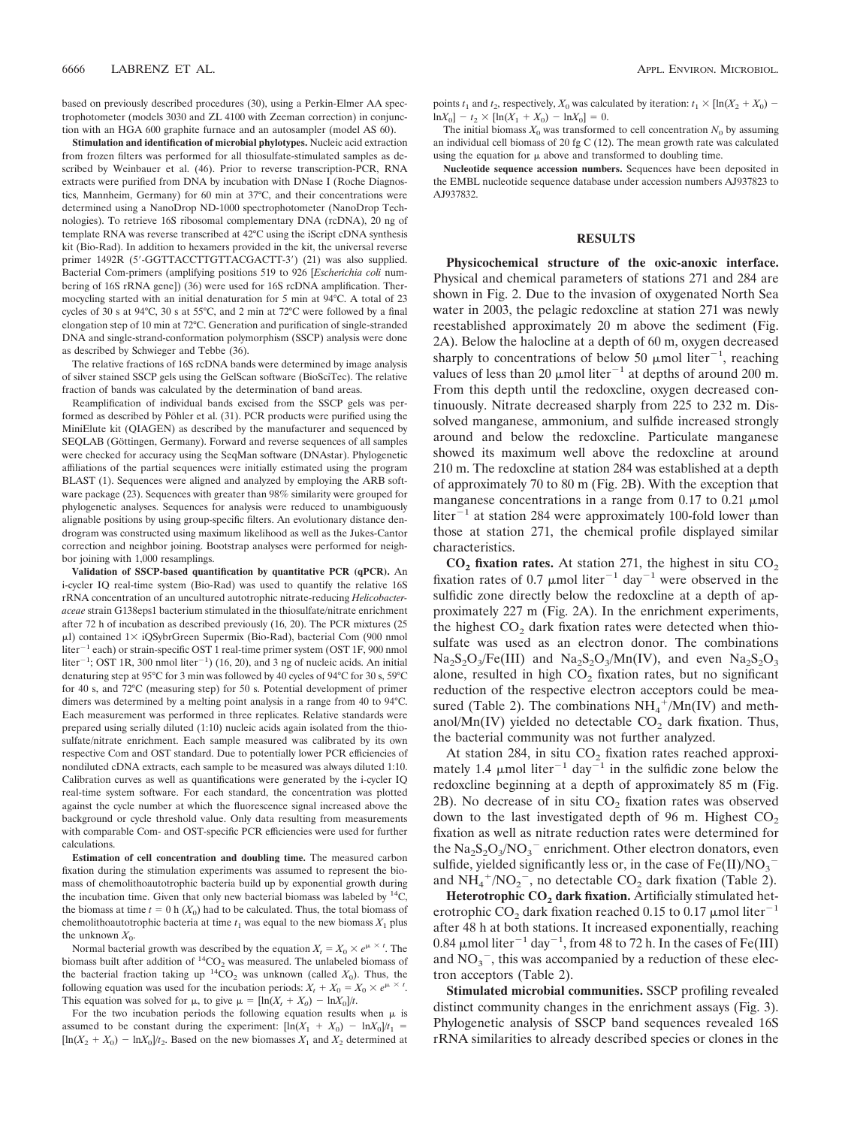based on previously described procedures (30), using a Perkin-Elmer AA spectrophotometer (models 3030 and ZL 4100 with Zeeman correction) in conjunction with an HGA 600 graphite furnace and an autosampler (model AS 60).

**Stimulation and identification of microbial phylotypes.** Nucleic acid extraction from frozen filters was performed for all thiosulfate-stimulated samples as described by Weinbauer et al. (46). Prior to reverse transcription-PCR, RNA extracts were purified from DNA by incubation with DNase I (Roche Diagnostics, Mannheim, Germany) for 60 min at 37°C, and their concentrations were determined using a NanoDrop ND-1000 spectrophotometer (NanoDrop Technologies). To retrieve 16S ribosomal complementary DNA (rcDNA), 20 ng of template RNA was reverse transcribed at 42°C using the iScript cDNA synthesis kit (Bio-Rad). In addition to hexamers provided in the kit, the universal reverse primer 1492R (5'-GGTTACCTTGTTACGACTT-3') (21) was also supplied. Bacterial Com-primers (amplifying positions 519 to 926 [*Escherichia coli* numbering of 16S rRNA gene]) (36) were used for 16S rcDNA amplification. Thermocycling started with an initial denaturation for 5 min at 94°C. A total of 23 cycles of 30 s at 94°C, 30 s at 55°C, and 2 min at 72°C were followed by a final elongation step of 10 min at 72°C. Generation and purification of single-stranded DNA and single-strand-conformation polymorphism (SSCP) analysis were done as described by Schwieger and Tebbe (36).

The relative fractions of 16S rcDNA bands were determined by image analysis of silver stained SSCP gels using the GelScan software (BioSciTec). The relative fraction of bands was calculated by the determination of band areas.

Reamplification of individual bands excised from the SSCP gels was performed as described by Pöhler et al. (31). PCR products were purified using the MiniElute kit (QIAGEN) as described by the manufacturer and sequenced by SEQLAB (Göttingen, Germany). Forward and reverse sequences of all samples were checked for accuracy using the SeqMan software (DNAstar). Phylogenetic affiliations of the partial sequences were initially estimated using the program BLAST (1). Sequences were aligned and analyzed by employing the ARB software package (23). Sequences with greater than 98% similarity were grouped for phylogenetic analyses. Sequences for analysis were reduced to unambiguously alignable positions by using group-specific filters. An evolutionary distance dendrogram was constructed using maximum likelihood as well as the Jukes-Cantor correction and neighbor joining. Bootstrap analyses were performed for neighbor joining with 1,000 resamplings.

**Validation of SSCP-based quantification by quantitative PCR (qPCR).** An i-cycler IQ real-time system (Bio-Rad) was used to quantify the relative 16S rRNA concentration of an uncultured autotrophic nitrate-reducing *Helicobacteraceae* strain G138eps1 bacterium stimulated in the thiosulfate/nitrate enrichment after 72 h of incubation as described previously (16, 20). The PCR mixtures (25  $\mu$ l) contained 1× iQSybrGreen Supermix (Bio-Rad), bacterial Com (900 nmol liter<sup>-1</sup> each) or strain-specific OST 1 real-time primer system (OST 1F, 900 nmol liter<sup>-1</sup>; OST 1R, 300 nmol liter<sup>-1</sup>) (16, 20), and 3 ng of nucleic acids. An initial denaturing step at 95°C for 3 min was followed by 40 cycles of 94°C for 30 s, 59°C for 40 s, and 72°C (measuring step) for 50 s. Potential development of primer dimers was determined by a melting point analysis in a range from 40 to 94°C. Each measurement was performed in three replicates. Relative standards were prepared using serially diluted (1:10) nucleic acids again isolated from the thiosulfate/nitrate enrichment. Each sample measured was calibrated by its own respective Com and OST standard. Due to potentially lower PCR efficiencies of nondiluted cDNA extracts, each sample to be measured was always diluted 1:10. Calibration curves as well as quantifications were generated by the i-cycler IQ real-time system software. For each standard, the concentration was plotted against the cycle number at which the fluorescence signal increased above the background or cycle threshold value. Only data resulting from measurements with comparable Com- and OST-specific PCR efficiencies were used for further calculations.

**Estimation of cell concentration and doubling time.** The measured carbon fixation during the stimulation experiments was assumed to represent the biomass of chemolithoautotrophic bacteria build up by exponential growth during the incubation time. Given that only new bacterial biomass was labeled by  ${}^{14}C$ , the biomass at time  $t = 0$  h( $X_0$ ) had to be calculated. Thus, the total biomass of chemolithoautotrophic bacteria at time  $t_1$  was equal to the new biomass  $X_1$  plus the unknown  $X_0$ .

Normal bacterial growth was described by the equation  $X_t = X_0 \times e^{\mu \times t}$ . The biomass built after addition of  ${}^{14}CO_2$  was measured. The unlabeled biomass of the bacterial fraction taking up  ${}^{14}CO_2$  was unknown (called  $X_0$ ). Thus, the following equation was used for the incubation periods:  $X_t + X_0 = X_0 \times e^{\mu} \times t$ . This equation was solved for  $\mu$ , to give  $\mu = [\ln(X_t + X_0) - \ln(X_0)]/t$ .

For the two incubation periods the following equation results when  $\mu$  is assumed to be constant during the experiment:  $[\ln(X_1 + X_0) - \ln(X_0)]/t_1$  $[\ln(X_2 + X_0) - \ln(X_0]/t_2$ . Based on the new biomasses  $X_1$  and  $X_2$  determined at

points  $t_1$  and  $t_2$ , respectively,  $X_0$  was calculated by iteration:  $t_1 \times [\ln(X_2 + X_0) \ln X_0$ ] -  $t_2 \times [\ln(X_1 + X_0) - \ln X_0] = 0.$ 

The initial biomass  $X_0$  was transformed to cell concentration  $N_0$  by assuming an individual cell biomass of 20 fg C (12). The mean growth rate was calculated using the equation for **u** above and transformed to doubling time.

**Nucleotide sequence accession numbers.** Sequences have been deposited in the EMBL nucleotide sequence database under accession numbers AJ937823 to AJ937832.

# **RESULTS**

**Physicochemical structure of the oxic-anoxic interface.** Physical and chemical parameters of stations 271 and 284 are shown in Fig. 2. Due to the invasion of oxygenated North Sea water in 2003, the pelagic redoxcline at station 271 was newly reestablished approximately 20 m above the sediment (Fig. 2A). Below the halocline at a depth of 60 m, oxygen decreased sharply to concentrations of below 50  $\mu$ mol liter<sup>-1</sup>, reaching values of less than 20  $\mu$ mol liter<sup>-1</sup> at depths of around 200 m. From this depth until the redoxcline, oxygen decreased continuously. Nitrate decreased sharply from 225 to 232 m. Dissolved manganese, ammonium, and sulfide increased strongly around and below the redoxcline. Particulate manganese showed its maximum well above the redoxcline at around 210 m. The redoxcline at station 284 was established at a depth of approximately 70 to 80 m (Fig. 2B). With the exception that manganese concentrations in a range from 0.17 to 0.21  $\mu$ mol liter $^{-1}$  at station 284 were approximately 100-fold lower than those at station 271, the chemical profile displayed similar characteristics.

 $CO<sub>2</sub>$  **fixation rates.** At station 271, the highest in situ  $CO<sub>2</sub>$ fixation rates of 0.7  $\mu$ mol liter<sup>-1</sup> day<sup>-1</sup> were observed in the sulfidic zone directly below the redoxcline at a depth of approximately 227 m (Fig. 2A). In the enrichment experiments, the highest  $CO<sub>2</sub>$  dark fixation rates were detected when thiosulfate was used as an electron donor. The combinations  $Na<sub>2</sub>S<sub>2</sub>O<sub>3</sub>/Fe(III)$  and  $Na<sub>2</sub>S<sub>2</sub>O<sub>3</sub>/Mn(IV)$ , and even  $Na<sub>2</sub>S<sub>2</sub>O<sub>3</sub>$ alone, resulted in high  $CO<sub>2</sub>$  fixation rates, but no significant reduction of the respective electron acceptors could be measured (Table 2). The combinations  $NH_4^+/Mn(IV)$  and methanol/Mn(IV) yielded no detectable  $CO<sub>2</sub>$  dark fixation. Thus, the bacterial community was not further analyzed.

At station 284, in situ  $CO<sub>2</sub>$  fixation rates reached approximately 1.4  $\mu$ mol liter<sup>-1</sup> day<sup>-1</sup> in the sulfidic zone below the redoxcline beginning at a depth of approximately 85 m (Fig. 2B). No decrease of in situ  $CO<sub>2</sub>$  fixation rates was observed down to the last investigated depth of 96 m. Highest  $CO<sub>2</sub>$ fixation as well as nitrate reduction rates were determined for the  $\text{Na}_2\text{S}_2\text{O}_3/\text{NO}_3$ <sup>-</sup> enrichment. Other electron donators, even sulfide, yielded significantly less or, in the case of  $Fe(II)/NO_3^$ and  $NH_4^+/NO_2^-$ , no detectable  $CO_2$  dark fixation (Table 2).

Heterotrophic CO<sub>2</sub> dark fixation. Artificially stimulated heterotrophic  $CO_2$  dark fixation reached 0.15 to 0.17  $\mu$ mol liter<sup>-1</sup> after 48 h at both stations. It increased exponentially, reaching 0.84  $\mu$ mol liter<sup>-1</sup> day<sup>-1</sup>, from 48 to 72 h. In the cases of Fe(III) and  $NO<sub>3</sub><sup>-</sup>$ , this was accompanied by a reduction of these electron acceptors (Table 2).

**Stimulated microbial communities.** SSCP profiling revealed distinct community changes in the enrichment assays (Fig. 3). Phylogenetic analysis of SSCP band sequences revealed 16S rRNA similarities to already described species or clones in the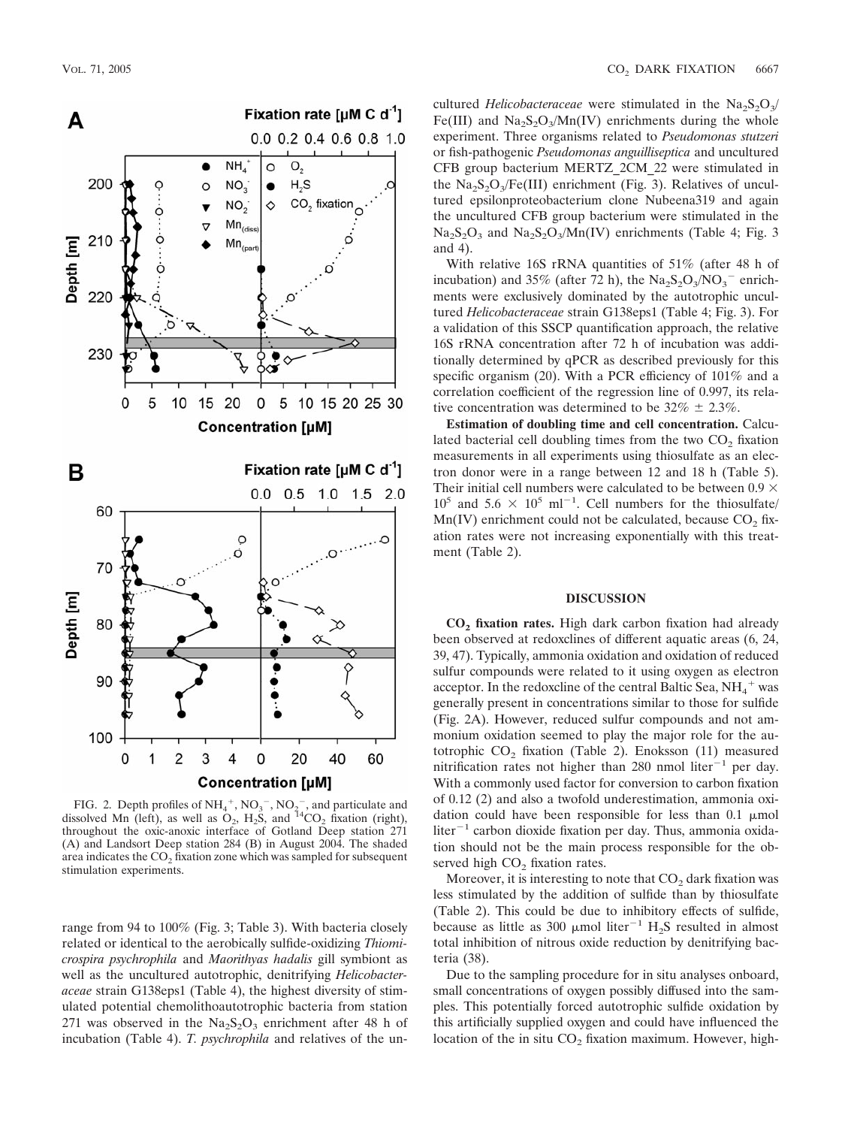

FIG. 2. Depth profiles of  $NH_4^+$ ,  $NO_3^-$ ,  $NO_2^-$ , and particulate and dissolved Mn (left), as well as  $O_2$ ,  $H_2S$ , and <sup>14</sup>CO<sub>2</sub> fixation (right), throughout the oxic-anoxic interface of Gotland Deep station 271 (A) and Landsort Deep station 284 (B) in August 2004. The shaded area indicates the  $CO<sub>2</sub>$  fixation zone which was sampled for subsequent stimulation experiments.

range from 94 to 100% (Fig. 3; Table 3). With bacteria closely related or identical to the aerobically sulfide-oxidizing *Thiomicrospira psychrophila* and *Maorithyas hadalis* gill symbiont as well as the uncultured autotrophic, denitrifying *Helicobacteraceae* strain G138eps1 (Table 4), the highest diversity of stimulated potential chemolithoautotrophic bacteria from station 271 was observed in the  $Na<sub>2</sub>S<sub>2</sub>O<sub>3</sub>$  enrichment after 48 h of incubation (Table 4). *T. psychrophila* and relatives of the uncultured *Helicobacteraceae* were stimulated in the  $Na<sub>2</sub>S<sub>2</sub>O<sub>3</sub>$ Fe(III) and  $\text{Na}_2\text{S}_2\text{O}_3/\text{Mn}$ (IV) enrichments during the whole experiment. Three organisms related to *Pseudomonas stutzeri* or fish-pathogenic *Pseudomonas anguilliseptica* and uncultured CFB group bacterium MERTZ\_2CM\_22 were stimulated in the  $\text{Na}_2\text{S}_2\text{O}_3/\text{Fe(III)}$  enrichment (Fig. 3). Relatives of uncultured epsilonproteobacterium clone Nubeena319 and again the uncultured CFB group bacterium were stimulated in the  $Na_2S_2O_3$  and  $Na_2S_2O_3/Mn(IV)$  enrichments (Table 4; Fig. 3) and 4).

With relative 16S rRNA quantities of 51% (after 48 h of incubation) and 35% (after 72 h), the  $\text{Na}_2\text{S}_2\text{O}_3/\text{NO}_3$ <sup>-</sup> enrichments were exclusively dominated by the autotrophic uncultured *Helicobacteraceae* strain G138eps1 (Table 4; Fig. 3). For a validation of this SSCP quantification approach, the relative 16S rRNA concentration after 72 h of incubation was additionally determined by qPCR as described previously for this specific organism (20). With a PCR efficiency of 101% and a correlation coefficient of the regression line of 0.997, its relative concentration was determined to be  $32\% \pm 2.3\%$ .

**Estimation of doubling time and cell concentration.** Calculated bacterial cell doubling times from the two  $CO<sub>2</sub>$  fixation measurements in all experiments using thiosulfate as an electron donor were in a range between 12 and 18 h (Table 5). Their initial cell numbers were calculated to be between  $0.9 \times$  $10^5$  and  $5.6 \times 10^5$  ml<sup>-1</sup>. Cell numbers for the thiosulfate/  $Mn(IV)$  enrichment could not be calculated, because  $CO<sub>2</sub>$  fixation rates were not increasing exponentially with this treatment (Table 2).

## **DISCUSSION**

**CO2 fixation rates.** High dark carbon fixation had already been observed at redoxclines of different aquatic areas (6, 24, 39, 47). Typically, ammonia oxidation and oxidation of reduced sulfur compounds were related to it using oxygen as electron acceptor. In the redoxcline of the central Baltic Sea,  $NH_4^+$  was generally present in concentrations similar to those for sulfide (Fig. 2A). However, reduced sulfur compounds and not ammonium oxidation seemed to play the major role for the autotrophic  $CO<sub>2</sub>$  fixation (Table 2). Enoksson (11) measured nitrification rates not higher than 280 nmol liter $^{-1}$  per day. With a commonly used factor for conversion to carbon fixation of 0.12 (2) and also a twofold underestimation, ammonia oxidation could have been responsible for less than  $0.1 \text{ }\mu\text{mol}$ liter<sup>-1</sup> carbon dioxide fixation per day. Thus, ammonia oxidation should not be the main process responsible for the observed high  $CO<sub>2</sub>$  fixation rates.

Moreover, it is interesting to note that  $CO<sub>2</sub>$  dark fixation was less stimulated by the addition of sulfide than by thiosulfate (Table 2). This could be due to inhibitory effects of sulfide, because as little as 300  $\mu$ mol liter<sup>-1</sup> H<sub>2</sub>S resulted in almost total inhibition of nitrous oxide reduction by denitrifying bacteria (38).

Due to the sampling procedure for in situ analyses onboard, small concentrations of oxygen possibly diffused into the samples. This potentially forced autotrophic sulfide oxidation by this artificially supplied oxygen and could have influenced the location of the in situ  $CO<sub>2</sub>$  fixation maximum. However, high-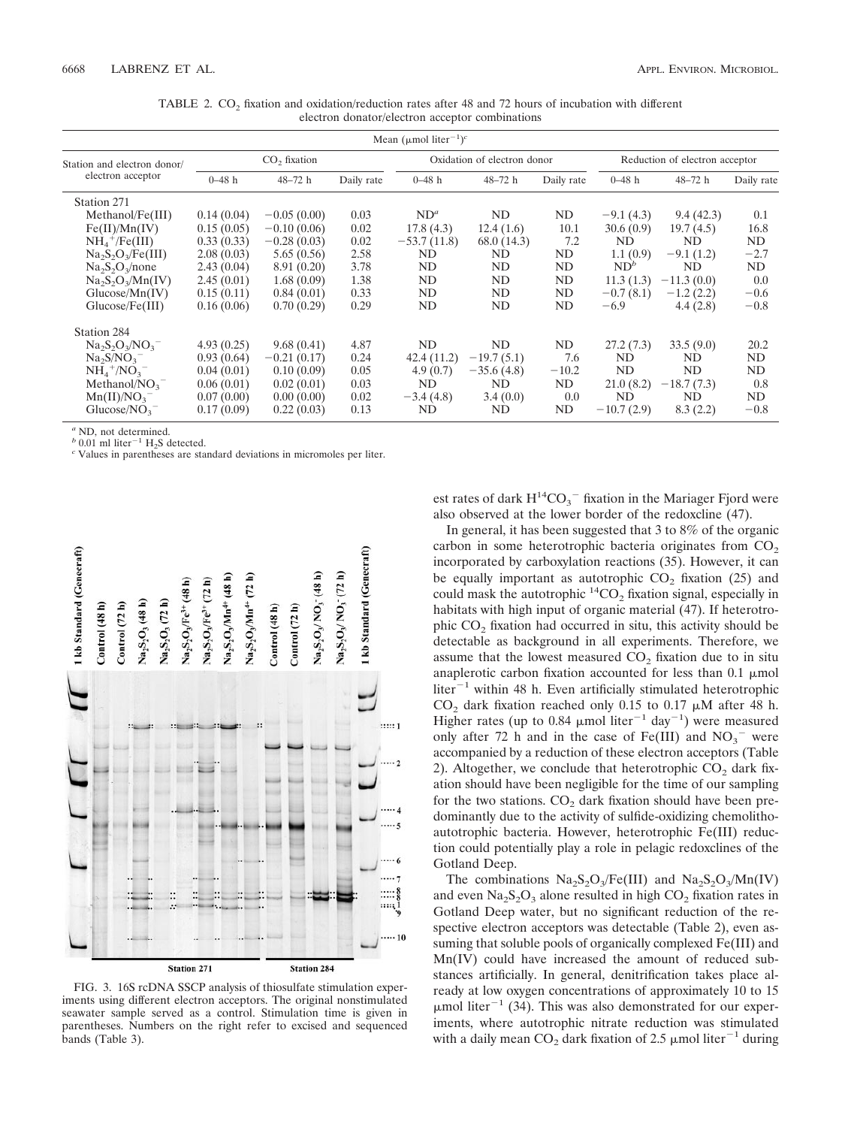| Mean ( $\mu$ mol liter <sup>-1</sup> ) <sup>c</sup> |            |                |            |               |                             |            |                                |              |            |  |
|-----------------------------------------------------|------------|----------------|------------|---------------|-----------------------------|------------|--------------------------------|--------------|------------|--|
| Station and electron donor/                         |            | $CO2$ fixation |            |               | Oxidation of electron donor |            | Reduction of electron acceptor |              |            |  |
| electron acceptor                                   | $0 - 48 h$ | $48 - 72 h$    | Daily rate | $0 - 48 h$    | 48-72 h                     | Daily rate | $0 - 48 h$                     | $48 - 72 h$  | Daily rate |  |
| Station 271                                         |            |                |            |               |                             |            |                                |              |            |  |
| Method/Fe(III)                                      | 0.14(0.04) | $-0.05(0.00)$  | 0.03       | $ND^a$        | ND                          | ND         | $-9.1(4.3)$                    | 9.4(42.3)    | 0.1        |  |
| Fe(II)/Mn(IV)                                       | 0.15(0.05) | $-0.10(0.06)$  | 0.02       | 17.8(4.3)     | 12.4(1.6)                   | 10.1       | 30.6(0.9)                      | 19.7(4.5)    | 16.8       |  |
| $NH4+/Fe(III)$                                      | 0.33(0.33) | $-0.28(0.03)$  | 0.02       | $-53.7(11.8)$ | 68.0(14.3)                  | 7.2        | ND                             | ND           | ND         |  |
| $Na_2S_2O_3/Fe(III)$                                | 2.08(0.03) | 5.65(0.56)     | 2.58       | ND            | ND                          | ND         | 1.1(0.9)                       | $-9.1(1.2)$  | $-2.7$     |  |
| $Na_2S_2O_3/none$                                   | 2.43(0.04) | 8.91(0.20)     | 3.78       | ND            | ND                          | ND         | $ND^b$                         | ND           | ND         |  |
| $Na_2S_2O_3/Mn(IV)$                                 | 2.45(0.01) | 1.68(0.09)     | 1.38       | ND            | ND                          | ND         | 11.3(1.3)                      | $-11.3(0.0)$ | 0.0        |  |
| Glucose/Mn(IV)                                      | 0.15(0.11) | 0.84(0.01)     | 0.33       | ND            | ND                          | ND         | $-0.7(8.1)$                    | $-1.2(2.2)$  | $-0.6$     |  |
| Glucose/Fe(III)                                     | 0.16(0.06) | 0.70(0.29)     | 0.29       | ND            | ND                          | ND         | $-6.9$                         | 4.4(2.8)     | $-0.8$     |  |
| Station 284                                         |            |                |            |               |                             |            |                                |              |            |  |
| $Na_2S_2O_3/NO_3$                                   | 4.93(0.25) | 9.68(0.41)     | 4.87       | ND            | ND                          | ND         | 27.2(7.3)                      | 33.5(9.0)    | 20.2       |  |
| Na <sub>2</sub> S/NO <sub>2</sub>                   | 0.93(0.64) | $-0.21(0.17)$  | 0.24       | 42.4 (11.2)   | $-19.7(5.1)$                | 7.6        | ND                             | ND           | ND         |  |
| $NH4+/NO2-$                                         | 0.04(0.01) | 0.10(0.09)     | 0.05       | 4.9(0.7)      | $-35.6(4.8)$                | $-10.2$    | ND                             | ND           | ND         |  |
| Methanol/ $NO2$ <sup>-</sup>                        | 0.06(0.01) | 0.02(0.01)     | 0.03       | ND            | ND                          | ND         | 21.0(8.2)                      | $-18.7(7.3)$ | 0.8        |  |
| Mn(II)/NO <sub>2</sub>                              | 0.07(0.00) | 0.00(0.00)     | 0.02       | $-3.4(4.8)$   | 3.4(0.0)                    | 0.0        | ND                             | ND           | ND.        |  |
| Glucose/NO <sub>2</sub>                             | 0.17(0.09) | 0.22(0.03)     | 0.13       | ND            | ND                          | ND         | $-10.7(2.9)$                   | 8.3(2.2)     | $-0.8$     |  |

TABLE 2. CO<sub>2</sub> fixation and oxidation/reduction rates after 48 and 72 hours of incubation with different electron donator/electron acceptor combinations

*<sup>a</sup>* ND, not determined.

 $b$  0.01 ml liter<sup>-1</sup> H<sub>2</sub>S detected.

<sup>c</sup> Values in parentheses are standard deviations in micromoles per liter.



FIG. 3. 16S rcDNA SSCP analysis of thiosulfate stimulation experiments using different electron acceptors. The original nonstimulated seawater sample served as a control. Stimulation time is given in parentheses. Numbers on the right refer to excised and sequenced bands (Table 3).

est rates of dark  $H^{14}CO_3^-$  fixation in the Mariager Fjord were also observed at the lower border of the redoxcline (47).

In general, it has been suggested that 3 to 8% of the organic carbon in some heterotrophic bacteria originates from  $CO<sub>2</sub>$ incorporated by carboxylation reactions (35). However, it can be equally important as autotrophic  $CO<sub>2</sub>$  fixation (25) and could mask the autotrophic  ${}^{14}CO_2$  fixation signal, especially in habitats with high input of organic material (47). If heterotrophic  $CO<sub>2</sub>$  fixation had occurred in situ, this activity should be detectable as background in all experiments. Therefore, we assume that the lowest measured  $CO<sub>2</sub>$  fixation due to in situ anaplerotic carbon fixation accounted for less than  $0.1 \mu$ mol liter<sup>-1</sup> within 48 h. Even artificially stimulated heterotrophic CO<sub>2</sub> dark fixation reached only 0.15 to 0.17  $\mu$ M after 48 h. Higher rates (up to 0.84  $\mu$ mol liter<sup>-1</sup> day<sup>-1</sup>) were measured only after 72 h and in the case of Fe(III) and  $NO_3$ <sup>-</sup> were accompanied by a reduction of these electron acceptors (Table 2). Altogether, we conclude that heterotrophic  $CO<sub>2</sub>$  dark fixation should have been negligible for the time of our sampling for the two stations.  $CO<sub>2</sub>$  dark fixation should have been predominantly due to the activity of sulfide-oxidizing chemolithoautotrophic bacteria. However, heterotrophic Fe(III) reduction could potentially play a role in pelagic redoxclines of the Gotland Deep.

The combinations  $Na_2S_2O_3/Fe(III)$  and  $Na_2S_2O_3/Mn(IV)$ and even  $Na<sub>2</sub>S<sub>2</sub>O<sub>3</sub>$  alone resulted in high  $CO<sub>2</sub>$  fixation rates in Gotland Deep water, but no significant reduction of the respective electron acceptors was detectable (Table 2), even assuming that soluble pools of organically complexed Fe(III) and Mn(IV) could have increased the amount of reduced substances artificially. In general, denitrification takes place already at low oxygen concentrations of approximately 10 to 15  $\mu$ mol liter<sup>-1</sup> (34). This was also demonstrated for our experiments, where autotrophic nitrate reduction was stimulated with a daily mean  $CO_2$  dark fixation of 2.5  $\mu$ mol liter<sup>-1</sup> during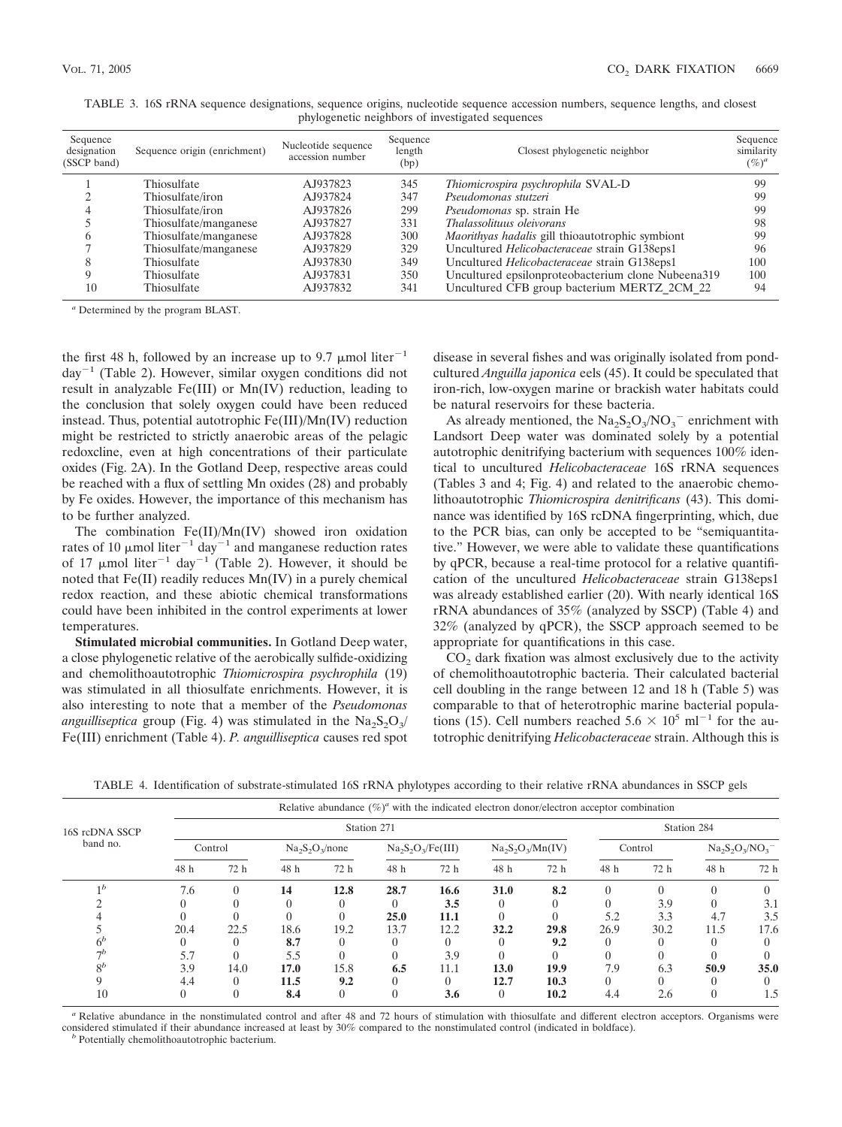| Sequence<br>designation<br>(SSCP band) | Sequence origin (enrichment) | Nucleotide sequence<br>accession number | Sequence<br>length<br>(bp) | Closest phylogenetic neighbor                      | Sequence<br>similarity<br>$(\%)^a$ |
|----------------------------------------|------------------------------|-----------------------------------------|----------------------------|----------------------------------------------------|------------------------------------|
|                                        | <b>Thiosulfate</b>           | AJ937823                                | 345                        | Thiomicrospira psychrophila SVAL-D                 | 99                                 |
|                                        | Thiosulfate/iron             | AJ937824                                | 347                        | Pseudomonas stutzeri                               | 99                                 |
|                                        | Thiosulfate/iron             | AJ937826                                | 299                        | <i>Pseudomonas</i> sp. strain He                   | 99                                 |
|                                        | Thiosulfate/manganese        | A.J937827                               | 331                        | Thalassolituus oleivorans                          | 98                                 |
|                                        | Thiosulfate/manganese        | A.J937828                               | 300                        | Maorithyas hadalis gill thioautotrophic symbiont   | 99                                 |
|                                        | Thiosulfate/manganese        | AJ937829                                | 329                        | Uncultured Helicobacteraceae strain G138eps1       | 96                                 |
|                                        | Thiosulfate                  | AJ937830                                | 349                        | Uncultured Helicobacteraceae strain G138eps1       | 100                                |
| Q                                      | <b>Thiosulfate</b>           | AJ937831                                | 350                        | Uncultured epsilonproteobacterium clone Nubeena319 | 100                                |
| 10                                     | Thiosulfate                  | AJ937832                                | 341                        | Uncultured CFB group bacterium MERTZ_2CM_22        | 94                                 |

| TABLE 3. 16S rRNA sequence designations, sequence origins, nucleotide sequence accession numbers, sequence lengths, and closest |  |  |  |  |  |  |  |  |
|---------------------------------------------------------------------------------------------------------------------------------|--|--|--|--|--|--|--|--|
| phylogenetic neighbors of investigated sequences                                                                                |  |  |  |  |  |  |  |  |

*<sup>a</sup>* Determined by the program BLAST.

the first 48 h, followed by an increase up to 9.7  $\mu$ mol liter<sup>-1</sup> day-<sup>1</sup> (Table 2). However, similar oxygen conditions did not result in analyzable Fe(III) or Mn(IV) reduction, leading to the conclusion that solely oxygen could have been reduced instead. Thus, potential autotrophic Fe(III)/Mn(IV) reduction might be restricted to strictly anaerobic areas of the pelagic redoxcline, even at high concentrations of their particulate oxides (Fig. 2A). In the Gotland Deep, respective areas could be reached with a flux of settling Mn oxides (28) and probably by Fe oxides. However, the importance of this mechanism has to be further analyzed.

The combination Fe(II)/Mn(IV) showed iron oxidation rates of 10  $\mu$ mol liter<sup>-1</sup> day<sup>-1</sup> and manganese reduction rates of 17  $\mu$ mol liter<sup>-1</sup> day<sup>-1</sup> (Table 2). However, it should be noted that Fe(II) readily reduces Mn(IV) in a purely chemical redox reaction, and these abiotic chemical transformations could have been inhibited in the control experiments at lower temperatures.

**Stimulated microbial communities.** In Gotland Deep water, a close phylogenetic relative of the aerobically sulfide-oxidizing and chemolithoautotrophic *Thiomicrospira psychrophila* (19) was stimulated in all thiosulfate enrichments. However, it is also interesting to note that a member of the *Pseudomonas anguilliseptica* group (Fig. 4) was stimulated in the  $Na<sub>2</sub>S<sub>2</sub>O<sub>3</sub>$ / Fe(III) enrichment (Table 4). *P. anguilliseptica* causes red spot disease in several fishes and was originally isolated from pondcultured *Anguilla japonica* eels (45). It could be speculated that iron-rich, low-oxygen marine or brackish water habitats could be natural reservoirs for these bacteria.

As already mentioned, the  $\text{Na}_2\text{S}_2\text{O}_3/\text{NO}_3$ <sup>-</sup> enrichment with Landsort Deep water was dominated solely by a potential autotrophic denitrifying bacterium with sequences 100% identical to uncultured *Helicobacteraceae* 16S rRNA sequences (Tables 3 and 4; Fig. 4) and related to the anaerobic chemolithoautotrophic *Thiomicrospira denitrificans* (43). This dominance was identified by 16S rcDNA fingerprinting, which, due to the PCR bias, can only be accepted to be "semiquantitative." However, we were able to validate these quantifications by qPCR, because a real-time protocol for a relative quantification of the uncultured *Helicobacteraceae* strain G138eps1 was already established earlier (20). With nearly identical 16S rRNA abundances of 35% (analyzed by SSCP) (Table 4) and 32% (analyzed by qPCR), the SSCP approach seemed to be appropriate for quantifications in this case.

CO<sub>2</sub> dark fixation was almost exclusively due to the activity of chemolithoautotrophic bacteria. Their calculated bacterial cell doubling in the range between 12 and 18 h (Table 5) was comparable to that of heterotrophic marine bacterial populations (15). Cell numbers reached  $5.6 \times 10^5$  ml<sup>-1</sup> for the autotrophic denitrifying *Helicobacteraceae* strain. Although this is

|  | TABLE 4. Identification of substrate-stimulated 16S rRNA phylotypes according to their relative rRNA abundances in SSCP gels |  |
|--|------------------------------------------------------------------------------------------------------------------------------|--|
|--|------------------------------------------------------------------------------------------------------------------------------|--|

|                |         |             |                   |      |                     |      | Relative abundance $(\%)^a$ with the indicated electron donor/electron acceptor combination |      |         |      |                   |      |  |  |
|----------------|---------|-------------|-------------------|------|---------------------|------|---------------------------------------------------------------------------------------------|------|---------|------|-------------------|------|--|--|
| 16S rcDNA SSCP |         | Station 271 |                   |      |                     |      |                                                                                             |      |         |      | Station 284       |      |  |  |
| band no.       | Control |             | $Na_2S_2O_3/none$ |      | $Na_2S_2O_3/Fe(HI)$ |      | $Na_2S_2O_3/Mn(IV)$                                                                         |      | Control |      | $Na_2S_2O_3/NO_3$ |      |  |  |
|                | 48 h    | 72 h        | 48 h              | 72 h | 48 h                | 72 h | 48 h                                                                                        | 72 h | 48 h    | 72 h | 48 h              | 72 h |  |  |
| 1h             | 7.6     | $\Omega$    | 14                | 12.8 | 28.7                | 16.6 | 31.0                                                                                        | 8.2  |         |      |                   |      |  |  |
|                |         |             |                   |      |                     | 3.5  |                                                                                             |      |         | 3.9  |                   | 3.1  |  |  |
|                |         |             |                   |      | 25.0                | 11.1 |                                                                                             |      | 5.2     | 3.3  | 4.7               | 3.5  |  |  |
|                | 20.4    | 22.5        | 18.6              | 19.2 | 13.7                | 12.2 | 32.2                                                                                        | 29.8 | 26.9    | 30.2 | 11.5              | 17.6 |  |  |
|                |         |             | 8.7               |      |                     |      |                                                                                             | 9.2  |         |      |                   |      |  |  |
|                | 5.7     | $\Omega$    | 5.5               |      |                     | 3.9  |                                                                                             |      |         |      |                   |      |  |  |
|                | 3.9     | 14.0        | 17.0              | 15.8 | 6.5                 | 11.1 | 13.0                                                                                        | 19.9 | 7.9     | 6.3  | 50.9              | 35.0 |  |  |
|                | 4.4     | $\Omega$    | 11.5              | 9.2  |                     |      | 12.7                                                                                        | 10.3 |         |      |                   |      |  |  |
| 10             |         |             | 8.4               |      |                     | 3.6  |                                                                                             | 10.2 | 4.4     | 2.6  |                   | 1.5  |  |  |

Relative abundance in the nonstimulated control and after 48 and 72 hours of stimulation with thiosulfate and different electron acceptors. Organisms were considered stimulated if their abundance increased at least by 30% compared to the nonstimulated control (indicated in boldface). *<sup>b</sup>* Potentially chemolithoautotrophic bacterium.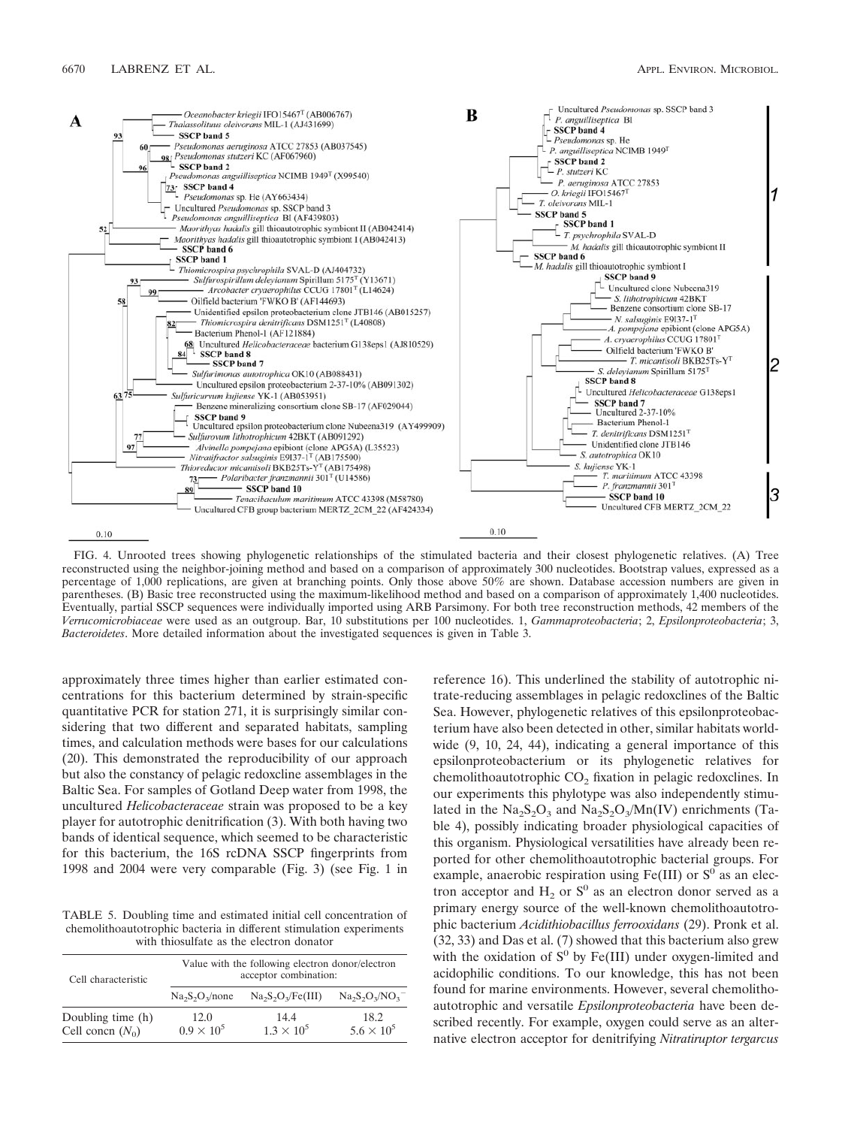

FIG. 4. Unrooted trees showing phylogenetic relationships of the stimulated bacteria and their closest phylogenetic relatives. (A) Tree reconstructed using the neighbor-joining method and based on a comparison of approximately 300 nucleotides. Bootstrap values, expressed as a percentage of 1,000 replications, are given at branching points. Only those above 50% are shown. Database accession numbers are given in parentheses. (B) Basic tree reconstructed using the maximum-likelihood method and based on a comparison of approximately 1,400 nucleotides. Eventually, partial SSCP sequences were individually imported using ARB Parsimony. For both tree reconstruction methods, 42 members of the *Verrucomicrobiaceae* were used as an outgroup. Bar, 10 substitutions per 100 nucleotides. 1, *Gammaproteobacteria*; 2, *Epsilonproteobacteria*; 3, *Bacteroidetes*. More detailed information about the investigated sequences is given in Table 3.

approximately three times higher than earlier estimated concentrations for this bacterium determined by strain-specific quantitative PCR for station 271, it is surprisingly similar considering that two different and separated habitats, sampling times, and calculation methods were bases for our calculations (20). This demonstrated the reproducibility of our approach but also the constancy of pelagic redoxcline assemblages in the Baltic Sea. For samples of Gotland Deep water from 1998, the uncultured *Helicobacteraceae* strain was proposed to be a key player for autotrophic denitrification (3). With both having two bands of identical sequence, which seemed to be characteristic for this bacterium, the 16S rcDNA SSCP fingerprints from 1998 and 2004 were very comparable (Fig. 3) (see Fig. 1 in

TABLE 5. Doubling time and estimated initial cell concentration of chemolithoautotrophic bacteria in different stimulation experiments with thiosulfate as the electron donator

| Cell characteristic                     | Value with the following electron donor/electron<br>acceptor combination: |                             |                             |  |  |  |  |
|-----------------------------------------|---------------------------------------------------------------------------|-----------------------------|-----------------------------|--|--|--|--|
|                                         | Na <sub>2</sub> SO <sub>3</sub> /none                                     | $Na_2S_2O_3/Fe(III)$        | $Na_2S_2O_3/NO_3$           |  |  |  |  |
| Doubling time (h)<br>Cell concn $(N_0)$ | 12.0<br>$0.9 \times 10^5$                                                 | 14.4<br>$1.3 \times 10^{5}$ | 18.2<br>$5.6 \times 10^{5}$ |  |  |  |  |

reference 16). This underlined the stability of autotrophic nitrate-reducing assemblages in pelagic redoxclines of the Baltic Sea. However, phylogenetic relatives of this epsilonproteobacterium have also been detected in other, similar habitats worldwide (9, 10, 24, 44), indicating a general importance of this epsilonproteobacterium or its phylogenetic relatives for chemolithoautotrophic CO<sub>2</sub> fixation in pelagic redoxclines. In our experiments this phylotype was also independently stimulated in the  $Na<sub>2</sub>S<sub>2</sub>O<sub>3</sub>$  and  $Na<sub>2</sub>S<sub>2</sub>O<sub>3</sub>/Mn(IV)$  enrichments (Table 4), possibly indicating broader physiological capacities of this organism. Physiological versatilities have already been reported for other chemolithoautotrophic bacterial groups. For example, anaerobic respiration using Fe(III) or  $S^0$  as an electron acceptor and  $H_2$  or  $S^0$  as an electron donor served as a primary energy source of the well-known chemolithoautotrophic bacterium *Acidithiobacillus ferrooxidans* (29). Pronk et al. (32, 33) and Das et al. (7) showed that this bacterium also grew with the oxidation of  $S^0$  by Fe(III) under oxygen-limited and acidophilic conditions. To our knowledge, this has not been found for marine environments. However, several chemolithoautotrophic and versatile *Epsilonproteobacteria* have been described recently. For example, oxygen could serve as an alternative electron acceptor for denitrifying *Nitratiruptor tergarcus*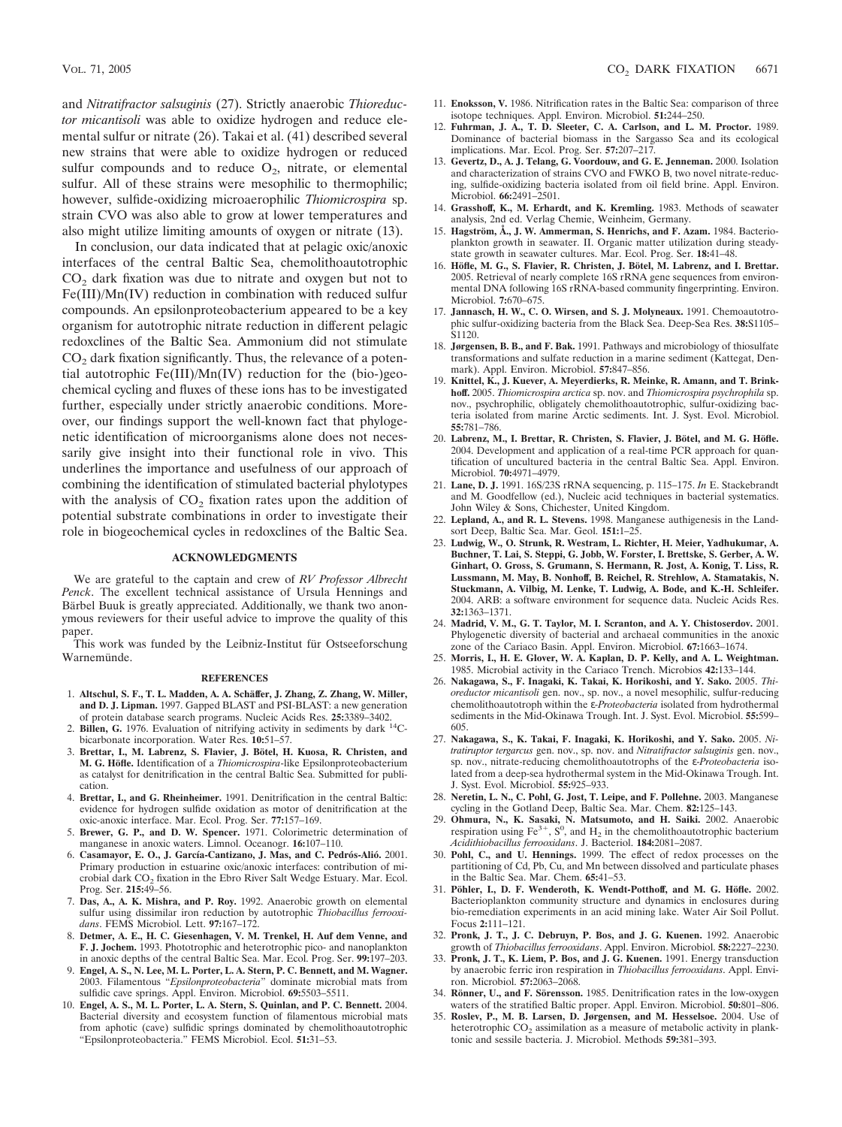and *Nitratifractor salsuginis* (27). Strictly anaerobic *Thioreductor micantisoli* was able to oxidize hydrogen and reduce elemental sulfur or nitrate (26). Takai et al. (41) described several new strains that were able to oxidize hydrogen or reduced sulfur compounds and to reduce  $O_2$ , nitrate, or elemental sulfur. All of these strains were mesophilic to thermophilic; however, sulfide-oxidizing microaerophilic *Thiomicrospira* sp. strain CVO was also able to grow at lower temperatures and also might utilize limiting amounts of oxygen or nitrate (13).

In conclusion, our data indicated that at pelagic oxic/anoxic interfaces of the central Baltic Sea, chemolithoautotrophic CO<sub>2</sub> dark fixation was due to nitrate and oxygen but not to Fe(III)/Mn(IV) reduction in combination with reduced sulfur compounds. An epsilonproteobacterium appeared to be a key organism for autotrophic nitrate reduction in different pelagic redoxclines of the Baltic Sea. Ammonium did not stimulate  $CO<sub>2</sub>$  dark fixation significantly. Thus, the relevance of a potential autotrophic Fe(III)/Mn(IV) reduction for the (bio-)geochemical cycling and fluxes of these ions has to be investigated further, especially under strictly anaerobic conditions. Moreover, our findings support the well-known fact that phylogenetic identification of microorganisms alone does not necessarily give insight into their functional role in vivo. This underlines the importance and usefulness of our approach of combining the identification of stimulated bacterial phylotypes with the analysis of  $CO<sub>2</sub>$  fixation rates upon the addition of potential substrate combinations in order to investigate their role in biogeochemical cycles in redoxclines of the Baltic Sea.

#### **ACKNOWLEDGMENTS**

We are grateful to the captain and crew of *RV Professor Albrecht Penck*. The excellent technical assistance of Ursula Hennings and Bärbel Buuk is greatly appreciated. Additionally, we thank two anonymous reviewers for their useful advice to improve the quality of this paper.

This work was funded by the Leibniz-Institut für Ostseeforschung Warnemünde.

#### **REFERENCES**

- 1. Altschul, S. F., T. L. Madden, A. A. Schäffer, J. Zhang, Z. Zhang, W. Miller, **and D. J. Lipman.** 1997. Gapped BLAST and PSI-BLAST: a new generation of protein database search programs. Nucleic Acids Res. **25:**3389–3402.
- 2. **Billen, G.** 1976. Evaluation of nitrifying activity in sediments by dark <sup>14</sup>Cbicarbonate incorporation. Water Res. **10:**51–57.
- 3. Brettar, I., M. Labrenz, S. Flavier, J. Bötel, H. Kuosa, R. Christen, and **M. G. Ho¨fle.** Identification of a *Thiomicrospira*-like Epsilonproteobacterium as catalyst for denitrification in the central Baltic Sea. Submitted for publication.
- 4. **Brettar, I., and G. Rheinheimer.** 1991. Denitrification in the central Baltic: evidence for hydrogen sulfide oxidation as motor of denitrification at the oxic-anoxic interface. Mar. Ecol. Prog. Ser. **77:**157–169.
- 5. **Brewer, G. P., and D. W. Spencer.** 1971. Colorimetric determination of manganese in anoxic waters. Limnol. Oceanogr. **16:**107–110.
- 6. **Casamayor, E. O., J. Garcı´a-Cantizano, J. Mas, and C. Pedro´s-Alio´.** 2001. Primary production in estuarine oxic/anoxic interfaces: contribution of microbial dark  $CO<sub>2</sub>$  fixation in the Ebro River Salt Wedge Estuary. Mar. Ecol. Prog. Ser. **215:**49–56.
- 7. **Das, A., A. K. Mishra, and P. Roy.** 1992. Anaerobic growth on elemental sulfur using dissimilar iron reduction by autotrophic *Thiobacillus ferrooxidans*. FEMS Microbiol. Lett. **97:**167–172.
- 8. **Detmer, A. E., H. C. Giesenhagen, V. M. Trenkel, H. Auf dem Venne, and F. J. Jochem.** 1993. Phototrophic and heterotrophic pico- and nanoplankton in anoxic depths of the central Baltic Sea. Mar. Ecol. Prog. Ser. **99:**197–203.
- 9. **Engel, A. S., N. Lee, M. L. Porter, L. A. Stern, P. C. Bennett, and M. Wagner.** 2003. Filamentous "*Epsilonproteobacteria*" dominate microbial mats from sulfidic cave springs. Appl. Environ. Microbiol. **69:**5503–5511.
- 10. **Engel, A. S., M. L. Porter, L. A. Stern, S. Quinlan, and P. C. Bennett.** 2004. Bacterial diversity and ecosystem function of filamentous microbial mats from aphotic (cave) sulfidic springs dominated by chemolithoautotrophic "Epsilonproteobacteria." FEMS Microbiol. Ecol. **51:**31–53.
- 11. **Enoksson, V.** 1986. Nitrification rates in the Baltic Sea: comparison of three isotope techniques. Appl. Environ. Microbiol. **51:**244–250.
- 12. **Fuhrman, J. A., T. D. Sleeter, C. A. Carlson, and L. M. Proctor.** 1989. Dominance of bacterial biomass in the Sargasso Sea and its ecological implications. Mar. Ecol. Prog. Ser. **57:**207–217.
- 13. **Gevertz, D., A. J. Telang, G. Voordouw, and G. E. Jenneman.** 2000. Isolation and characterization of strains CVO and FWKO B, two novel nitrate-reducing, sulfide-oxidizing bacteria isolated from oil field brine. Appl. Environ. Microbiol. **66:**2491–2501.
- 14. **Grasshoff, K., M. Erhardt, and K. Kremling.** 1983. Methods of seawater analysis, 2nd ed. Verlag Chemie, Weinheim, Germany.
- 15. Hagström, Å., J. W. Ammerman, S. Henrichs, and F. Azam. 1984. Bacterioplankton growth in seawater. II. Organic matter utilization during steadystate growth in seawater cultures. Mar. Ecol. Prog. Ser. **18:**41–48.
- 16. Höfle, M. G., S. Flavier, R. Christen, J. Bötel, M. Labrenz, and I. Brettar. 2005. Retrieval of nearly complete 16S rRNA gene sequences from environmental DNA following 16S rRNA-based community fingerprinting. Environ. Microbiol. **7:**670–675.
- 17. **Jannasch, H. W., C. O. Wirsen, and S. J. Molyneaux.** 1991. Chemoautotrophic sulfur-oxidizing bacteria from the Black Sea. Deep-Sea Res. **38:**S1105– S<sub>1120</sub>.
- 18. **Jørgensen, B. B., and F. Bak.** 1991. Pathways and microbiology of thiosulfate transformations and sulfate reduction in a marine sediment (Kattegat, Denmark). Appl. Environ. Microbiol. **57:**847–856.
- 19. **Knittel, K., J. Kuever, A. Meyerdierks, R. Meinke, R. Amann, and T. Brinkhoff.** 2005. *Thiomicrospira arctica* sp. nov. and *Thiomicrospira psychrophila* sp. nov., psychrophilic, obligately chemolithoautotrophic, sulfur-oxidizing bacteria isolated from marine Arctic sediments. Int. J. Syst. Evol. Microbiol. **55:**781–786.
- 20. Labrenz, M., I. Brettar, R. Christen, S. Flavier, J. Bötel, and M. G. Höfle. 2004. Development and application of a real-time PCR approach for quantification of uncultured bacteria in the central Baltic Sea. Appl. Environ. Microbiol. **70:**4971–4979.
- 21. **Lane, D. J.** 1991. 16S/23S rRNA sequencing, p. 115–175. *In* E. Stackebrandt and M. Goodfellow (ed.), Nucleic acid techniques in bacterial systematics. John Wiley & Sons, Chichester, United Kingdom.
- 22. **Lepland, A., and R. L. Stevens.** 1998. Manganese authigenesis in the Landsort Deep, Baltic Sea. Mar. Geol. **151:**1–25.
- 23. **Ludwig, W., O. Strunk, R. Westram, L. Richter, H. Meier, Yadhukumar, A. Buchner, T. Lai, S. Steppi, G. Jobb, W. Forster, I. Brettske, S. Gerber, A. W. Ginhart, O. Gross, S. Grumann, S. Hermann, R. Jost, A. Konig, T. Liss, R. Lussmann, M. May, B. Nonhoff, B. Reichel, R. Strehlow, A. Stamatakis, N. Stuckmann, A. Vilbig, M. Lenke, T. Ludwig, A. Bode, and K.-H. Schleifer.** 2004. ARB: a software environment for sequence data. Nucleic Acids Res. **32:**1363–1371.
- 24. **Madrid, V. M., G. T. Taylor, M. I. Scranton, and A. Y. Chistoserdov.** 2001. Phylogenetic diversity of bacterial and archaeal communities in the anoxic zone of the Cariaco Basin. Appl. Environ. Microbiol. **67:**1663–1674.
- 25. **Morris, I., H. E. Glover, W. A. Kaplan, D. P. Kelly, and A. L. Weightman.** 1985. Microbial activity in the Cariaco Trench. Microbios **42:**133–144.
- 26. **Nakagawa, S., F. Inagaki, K. Takai, K. Horikoshi, and Y. Sako.** 2005. *Thioreductor micantisoli* gen. nov., sp. nov., a novel mesophilic, sulfur-reducing chemolithoautotroph within the ε-*Proteobacteria* isolated from hydrothermal sediments in the Mid-Okinawa Trough. Int. J. Syst. Evol. Microbiol. **55:**599– 605.
- 27. **Nakagawa, S., K. Takai, F. Inagaki, K. Horikoshi, and Y. Sako.** 2005. *Nitratiruptor tergarcus* gen. nov., sp. nov. and *Nitratifractor salsuginis* gen. nov., sp. nov., nitrate-reducing chemolithoautotrophs of the ε-*Proteobacteria* isolated from a deep-sea hydrothermal system in the Mid-Okinawa Trough. Int. J. Syst. Evol. Microbiol. **55:**925–933.
- 28. **Neretin, L. N., C. Pohl, G. Jost, T. Leipe, and F. Pollehne.** 2003. Manganese cycling in the Gotland Deep, Baltic Sea. Mar. Chem. **82:**125–143.
- 29. **Ohmura, N., K. Sasaki, N. Matsumoto, and H. Saiki.** 2002. Anaerobic respiration using  $Fe^{3+}$ ,  $S^0$ , and  $H_2$  in the chemolithoautotrophic bacterium *Acidithiobacillus ferrooxidans*. J. Bacteriol. **184:**2081–2087.
- 30. **Pohl, C., and U. Hennings.** 1999. The effect of redox processes on the partitioning of Cd, Pb, Cu, and Mn between dissolved and particulate phases in the Baltic Sea. Mar. Chem. **65:**41–53.
- 31. Pöhler, I., D. F. Wenderoth, K. Wendt-Potthoff, and M. G. Höfle. 2002. Bacterioplankton community structure and dynamics in enclosures during bio-remediation experiments in an acid mining lake. Water Air Soil Pollut. Focus **2:**111–121.
- 32. **Pronk, J. T., J. C. Debruyn, P. Bos, and J. G. Kuenen.** 1992. Anaerobic growth of *Thiobacillus ferrooxidans*. Appl. Environ. Microbiol. **58:**2227–2230.
- 33. **Pronk, J. T., K. Liem, P. Bos, and J. G. Kuenen.** 1991. Energy transduction by anaerobic ferric iron respiration in *Thiobacillus ferrooxidans*. Appl. Environ. Microbiol. **57:**2063–2068.
- 34. **Rönner, U., and F. Sörensson.** 1985. Denitrification rates in the low-oxygen waters of the stratified Baltic proper. Appl. Environ. Microbiol. **50:**801–806.
- 35. **Roslev, P., M. B. Larsen, D. Jørgensen, and M. Hesselsoe.** 2004. Use of heterotrophic  $CO<sub>2</sub>$  assimilation as a measure of metabolic activity in planktonic and sessile bacteria. J. Microbiol. Methods **59:**381–393.